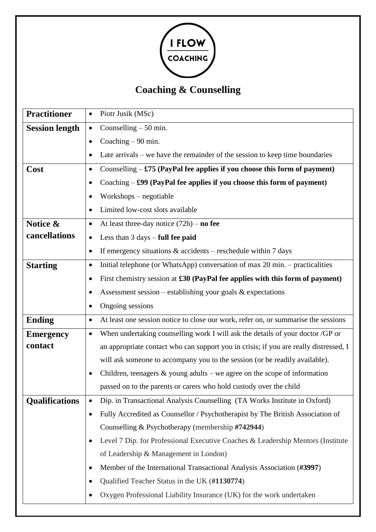

# **Coaching & Counselling**

| <b>Practitioner</b>   | Piotr Jusik (MSc)<br>$\bullet$                                                                  |
|-----------------------|-------------------------------------------------------------------------------------------------|
| <b>Session length</b> | Counselling $-50$ min.<br>$\bullet$                                                             |
|                       | Coaching $-90$ min.<br>$\bullet$                                                                |
|                       | Late arrivals $-$ we have the remainder of the session to keep time boundaries                  |
| Cost                  | Counselling $-$ £75 (PayPal fee applies if you choose this form of payment)<br>$\bullet$        |
|                       | Coaching - £99 (PayPal fee applies if you choose this form of payment)                          |
|                       | $Workshops - negative$                                                                          |
|                       | Limited low-cost slots available<br>$\bullet$                                                   |
| Notice &              | At least three-day notice $(72h)$ – no fee<br>$\bullet$                                         |
| cancellations         | Less than $3 \text{ days} - \text{full}$ fee paid<br>$\bullet$                                  |
|                       | If emergency situations $&$ accidents – reschedule within 7 days<br>$\bullet$                   |
| <b>Starting</b>       | Initial telephone (or WhatsApp) conversation of max 20 min. – practicalities<br>$\bullet$       |
|                       | First chemistry session at £30 (PayPal fee applies with this form of payment)<br>$\bullet$      |
|                       | Assessment session – establishing your goals $&$ expectations<br>٠                              |
|                       | Ongoing sessions                                                                                |
| <b>Ending</b>         | At least one session notice to close our work, refer on, or summarise the sessions<br>$\bullet$ |
| <b>Emergency</b>      | When undertaking counselling work I will ask the details of your doctor /GP or<br>$\bullet$     |
| contact               | an appropriate contact who can support you in crisis; if you are really distressed, I           |
|                       | will ask someone to accompany you to the session (or be readily available).                     |
|                       | Children, teenagers $\&$ young adults – we agree on the scope of information<br>$\bullet$       |
|                       | passed on to the parents or carers who hold custody over the child                              |
| <b>Qualifications</b> | Dip. in Transactional Analysis Counselling (TA Works Institute in Oxford)                       |
|                       | Fully Accredited as Counsellor / Psychotherapist by The British Association of<br>$\bullet$     |
|                       | Counselling & Psychotherapy (membership #742944)                                                |
|                       | Level 7 Dip. for Professional Executive Coaches & Leadership Mentors (Institute<br>$\bullet$    |
|                       | of Leadership & Management in London)                                                           |
|                       | Member of the International Transactional Analysis Association (#3997)<br>$\bullet$             |
|                       | Qualified Teacher Status in the UK (#1130774)                                                   |
|                       | Oxygen Professional Liability Insurance (UK) for the work undertaken                            |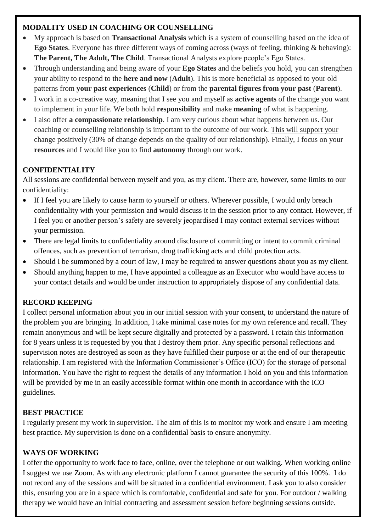## **MODALITY USED IN COACHING OR COUNSELLING**

- My approach is based on **Transactional Analysis** which is a system of counselling based on the idea of **Ego States**. Everyone has three different ways of coming across (ways of feeling, thinking & behaving): **The Parent, The Adult, The Child**. Transactional Analysts explore people's Ego States.
- Through understanding and being aware of your **Ego States** and the beliefs you hold, you can strengthen your ability to respond to the **here and now** (**Adult**). This is more beneficial as opposed to your old patterns from **your past experiences** (**Child**) or from the **parental figures from your past** (**Parent**).
- I work in a co-creative way, meaning that I see you and myself as **active agents** of the change you want to implement in your life. We both hold **responsibility** and make **meaning** of what is happening.
- I also offer **a compassionate relationship**. I am very curious about what happens between us. Our coaching or counselling relationship is important to the outcome of our work. This will support your change positively (30% of change depends on the quality of our relationship). Finally, I focus on your **resources** and I would like you to find **autonomy** through our work.

# **CONFIDENTIALITY**

All sessions are confidential between myself and you, as my client. There are, however, some limits to our confidentiality:

- If I feel you are likely to cause harm to yourself or others. Wherever possible, I would only breach confidentiality with your permission and would discuss it in the session prior to any contact. However, if I feel you or another person's safety are severely jeopardised I may contact external services without your permission.
- There are legal limits to confidentiality around disclosure of committing or intent to commit criminal offences, such as prevention of terrorism, drug trafficking acts and child protection acts.
- Should I be summoned by a court of law, I may be required to answer questions about you as my client.
- Should anything happen to me, I have appointed a colleague as an Executor who would have access to your contact details and would be under instruction to appropriately dispose of any confidential data.

## **RECORD KEEPING**

I collect personal information about you in our initial session with your consent, to understand the nature of the problem you are bringing. In addition, I take minimal case notes for my own reference and recall. They remain anonymous and will be kept secure digitally and protected by a password. I retain this information for 8 years unless it is requested by you that I destroy them prior. Any specific personal reflections and supervision notes are destroyed as soon as they have fulfilled their purpose or at the end of our therapeutic relationship. I am registered with the Information Commissioner's Office (ICO) for the storage of personal information. You have the right to request the details of any information I hold on you and this information will be provided by me in an easily accessible format within one month in accordance with the ICO guidelines.

## **BEST PRACTICE**

I regularly present my work in supervision. The aim of this is to monitor my work and ensure I am meeting best practice. My supervision is done on a confidential basis to ensure anonymity.

## **WAYS OF WORKING**

I offer the opportunity to work face to face, online, over the telephone or out walking. When working online I suggest we use Zoom. As with any electronic platform I cannot guarantee the security of this 100%. I do not record any of the sessions and will be situated in a confidential environment. I ask you to also consider this, ensuring you are in a space which is comfortable, confidential and safe for you. For outdoor / walking therapy we would have an initial contracting and assessment session before beginning sessions outside.